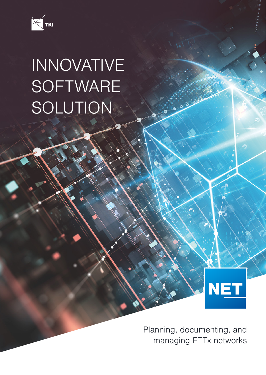

## INNOVATIVE **SOFTWARE** SOLUTION

Planning, documenting, and managing FTTx networks

**NET**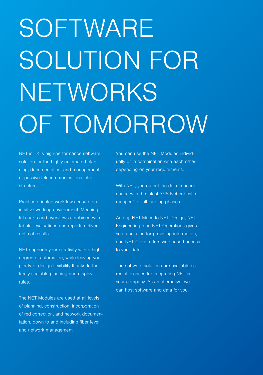# SOFTWARE SOLUTION FOR NETWORKS OF TOMORROW

NET is TKI's high-performance software solution for the highly-automated planning, documentation, and management of passive telecommunications infrastructure.

Practice-oriented workflows ensure an intuitive working environment. Meaningful charts and overviews combined with tabular evaluations and reports deliver optimal results.

NET supports your creativity with a high degree of automation, while leaving you plenty of design flexibility thanks to the freely scalable planning and display rules.

The NET Modules are used at all levels of planning, construction, incorporation of red correction, and network documentation, down to and including fiber level and network management.

You can use the NET Modules individually or in combination with each other depending on your requirements.

With NET, you output the data in accordance with the latest "GIS Nebenbestimmungen" for all funding phases.

Adding NET Maps to NET Design, NET Engineering, and NET Operations gives you a solution for providing information, and NET Cloud offers web-based access to your data.

The software solutions are available as rental licenses for integrating NET in your company. As an alternative, we can host software and data for you.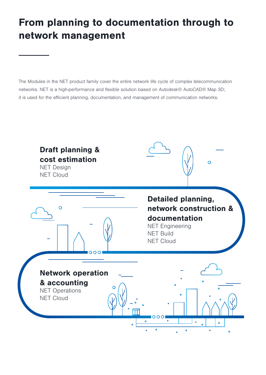## From planning to documentation through to network management

The Modules in the NET product family cover the entire network life cycle of complex telecommunication networks. NET is a high-performance and flexible solution based on Autodesk® AutoCAD® Map 3D; it is used for the efficient planning, documentation, and management of communication networks.

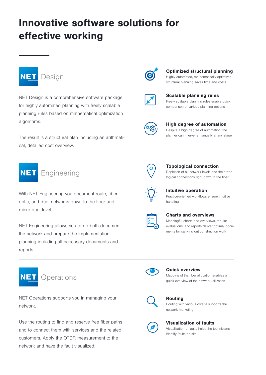## Innovative software solutions for effective working



NET Design is a comprehensive software package for highly automated planning with freely scalable planning rules based on mathematical optimization algorithms.

The result is a structural plan including an arithmetical, detailed cost overview.



With NET Engineering you document route, fiber optic, and duct networks down to the fiber and micro duct level.

NET Engineering allows you to do both document the network and prepare the implementation planning including all necessary documents and reports.



NET Operations supports you in managing your network.

Use the routing to find and reserve free fiber paths and to connect them with services and the related customers. Apply the OTDR measurement to the network and have the fault visualized.



#### Optimized structural planning

Highly automated, mathematically optimized structural planning saves time and costs

|--|

Scalable planning rules Freely scalable planning rules enable quick comparison of various planning options



High degree of automation

Despite a high degree of automation, the planner can intervene manually at any stage



Topological connection

Depiction of all network levels and their topological connections right down to the fiber



Intuitive operation Practice-oriented workflows ensure intuitive handling

#### Charts and overviews

Meaningful charts and overviews, tabular evaluations, and reports deliver optimal documents for carrying out construction work



#### Quick overview

Mapping of the fiber allocation enables a quick overview of the network utilization



#### Routing

Routing with various criteria supports the network marketing



#### Visualization of faults

Visualization of faults helps the technicians identify faults on site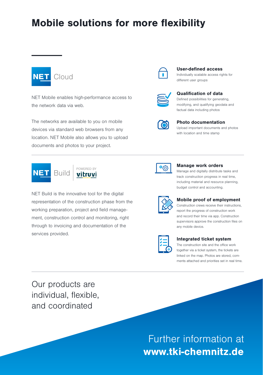## Mobile solutions for more flexibility



NET Mobile enables high-performance access to the network data via web.

The networks are available to you on mobile devices via standard web browsers from any location. NET Mobile also allows you to upload documents and photos to your project.





NET Build is the innovative tool for the digital representation of the construction phase from the working preparation, project and field management, construction control and monitoring, right through to invoicing and documentation of the services provided.



#### User-defined access

Individually scalable access rights for different user groups



#### Qualification of data

Defined possibilities for generating, modifying, and qualifying geodata and factual data including photos



#### Photo documentation

Upload important documents and photos with location and time stamp



#### Manage work orders

Manage and digitally distribute tasks and track construction progress in real time, including material and resource planning, budget control and accounting.



#### Mobile proof of employment

Construction crews receive their instructions, report the progress of construction work and record their time via app. Construction supervisors approve the construction files on any mobile device.



#### Integrated ticket system

The construction site and the office work together via a ticket system, the tickets are linked on the map. Photos are stored, comments attached and priorities set in real time.

Our products are individual, flexible, and coordinated